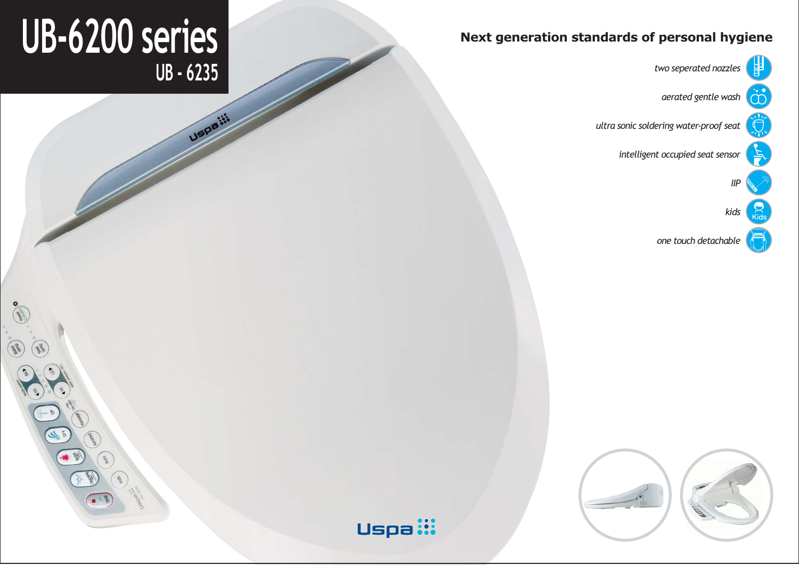

*aerated gentle wash*

*ultra sonic soldering water-proof seat*

*intelligent occupied seat sensor*

*one touch detachable*



# **UB-6200 series Next generation standards of personal hygiene UB - 6235** *two seperated nozzles*

 $\sqrt{\frac{2}{3}}$ 

**USDB**